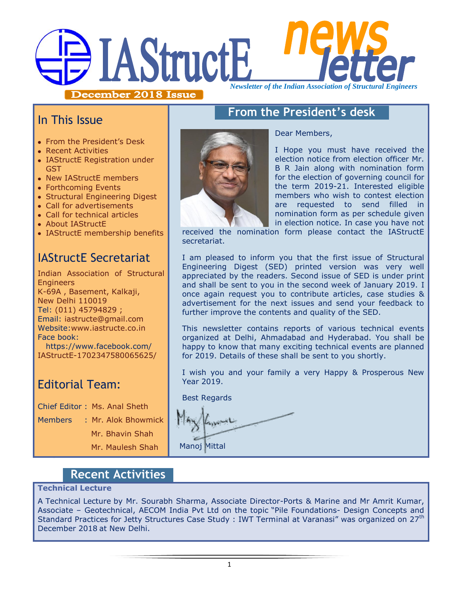# **IAStructE** *Newsletter of the Indian Association of Structural Engineers*

December 2018 Issue

## **From the President's desk**

Dear Members,

I Hope you must have received the election notice from election officer Mr. B R Jain along with nomination form for the election of governing council for the term 2019-21. Interested eligible members who wish to contest election are requested to send filled in nomination form as per schedule given in election notice. In case you have not

received the nomination form please contact the IAStructE secretariat.

I am pleased to inform you that the first issue of Structural Engineering Digest (SED) printed version was very well appreciated by the readers. Second issue of SED is under print and shall be sent to you in the second week of January 2019. I once again request you to contribute articles, case studies & advertisement for the next issues and send your feedback to further improve the contents and quality of the SED.

This newsletter contains reports of various technical events organized at Delhi, Ahmadabad and Hyderabad. You shall be happy to know that many exciting technical events are planned for 2019. Details of these shall be sent to you shortly.

I wish you and your family a very Happy & Prosperous New Year 2019.

Best Regards

Manoj Mittal

## **Recent Activities**

#### **Technical Lecture**

A Technical Lecture by Mr. Sourabh Sharma, Associate Director-Ports & Marine and Mr Amrit Kumar, Associate – Geotechnical, AECOM India Pvt Ltd on the topic "Pile Foundations- Design Concepts and Standard Practices for Jetty Structures Case Study : IWT Terminal at Varanasi" was organized on 27<sup>th</sup> December 2018 at New Delhi.



IAStructE Secretariat

About IAStructE

In This Issue

Recent Activities

GST

• From the President's Desk

• New IAStructE members Forthcoming Events

• IAStructE Registration under

• Structural Engineering Digest Call for advertisements Call for technical articles

IAStructE membership benefits

Indian Association of Structural **Engineers** K-69A , Basement, Kalkaji, New Delhi 110019 Tel: (011) 45794829 ; Email: iastructe@gmail.com Website[:www.iastructe.co.in](http://www.iastructe.co.in/) Face book: [https://www.facebook.com/](https://www.facebook.com/%20IAStructE-1702347580065625/) 

[IAStructE-1702347580065625/](https://www.facebook.com/%20IAStructE-1702347580065625/)

## Editorial Team:

Chief Editor : Ms. Anal Sheth

Members : Mr. Alok Bhowmick

Mr. Bhavin Shah

Mr. Maulesh Shah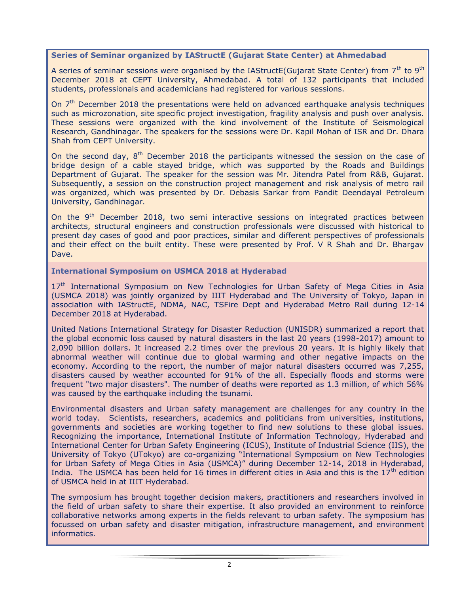#### **Series of Seminar organized by IAStructE (Gujarat State Center) at Ahmedabad**

A series of seminar sessions were organised by the IAStructE(Gujarat State Center) from 7<sup>th</sup> to 9<sup>th</sup> December 2018 at CEPT University, Ahmedabad. A total of 132 participants that included students, professionals and academicians had registered for various sessions.

On  $7<sup>th</sup>$  December 2018 the presentations were held on advanced earthquake analysis techniques such as microzonation, site specific project investigation, fragility analysis and push over analysis. These sessions were organized with the kind involvement of the Institute of Seismological Research, Gandhinagar. The speakers for the sessions were Dr. Kapil Mohan of ISR and Dr. Dhara Shah from CEPT University.

On the second day, 8<sup>th</sup> December 2018 the participants witnessed the session on the case of bridge design of a cable stayed bridge, which was supported by the Roads and Buildings Department of Gujarat. The speaker for the session was Mr. Jitendra Patel from R&B, Gujarat. Subsequently, a session on the construction project management and risk analysis of metro rail was organized, which was presented by Dr. Debasis Sarkar from Pandit Deendayal Petroleum University, Gandhinagar.

On the 9<sup>th</sup> December 2018, two semi interactive sessions on integrated practices between architects, structural engineers and construction professionals were discussed with historical to present day cases of good and poor practices, similar and different perspectives of professionals and their effect on the built entity. These were presented by Prof. V R Shah and Dr. Bhargav Dave.

#### **International Symposium on USMCA 2018 at Hyderabad**

17<sup>th</sup> International Symposium on New Technologies for Urban Safety of Mega Cities in Asia (USMCA 2018) was jointly organized by IIIT Hyderabad and The University of Tokyo, Japan in association with IAStructE, NDMA, NAC, TSFire Dept and Hyderabad Metro Rail during 12-14 December 2018 at Hyderabad.

United Nations International Strategy for Disaster Reduction (UNISDR) summarized a report that the global economic loss caused by natural disasters in the last 20 years (1998-2017) amount to 2,090 billion dollars. It increased 2.2 times over the previous 20 years. It is highly likely that abnormal weather will continue due to global warming and other negative impacts on the economy. According to the report, the number of major natural disasters occurred was 7,255, disasters caused by weather accounted for 91% of the all. Especially floods and storms were frequent "two major disasters". The number of deaths were reported as 1.3 million, of which 56% was caused by the earthquake including the tsunami.

Environmental disasters and Urban safety management are challenges for any country in the world today. Scientists, researchers, academics and politicians from universities, institutions, governments and societies are working together to find new solutions to these global issues. Recognizing the importance, International Institute of Information Technology, Hyderabad and International Center for Urban Safety Engineering (ICUS), Institute of Industrial Science (IIS), the University of Tokyo (UTokyo) are co-organizing "International Symposium on New Technologies for Urban Safety of Mega Cities in Asia (USMCA)" during December 12-14, 2018 in Hyderabad, India. The USMCA has been held for 16 times in different cities in Asia and this is the  $17<sup>th</sup>$  edition of USMCA held in at IIIT Hyderabad.

The symposium has brought together decision makers, practitioners and researchers involved in the field of urban safety to share their expertise. It also provided an environment to reinforce collaborative networks among experts in the fields relevant to urban safety. The symposium has focussed on urban safety and disaster mitigation, infrastructure management, and environment informatics.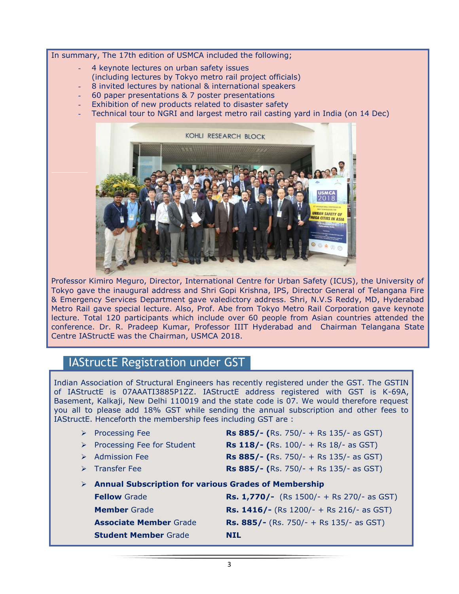In summary, The 17th edition of USMCA included the following;

- 4 keynote lectures on urban safety issues
- (including lectures by Tokyo metro rail project officials)
- 8 invited lectures by national & international speakers
- 60 paper presentations & 7 poster presentations
- Exhibition of new products related to disaster safety
- Technical tour to NGRI and largest metro rail casting yard in India (on 14 Dec)



Professor Kimiro Meguro, Director, International Centre for Urban Safety (ICUS), the University of Tokyo gave the inaugural address and Shri Gopi Krishna, IPS, Director General of Telangana Fire & Emergency Services Department gave valedictory address. Shri, N.V.S Reddy, MD, Hyderabad Metro Rail gave special lecture. Also, Prof. Abe from Tokyo Metro Rail Corporation gave keynote lecture. Total 120 participants which include over 60 people from Asian countries attended the conference. Dr. R. Pradeep Kumar, Professor IIIT Hyderabad and Chairman Telangana State Centre IAStructE was the Chairman, USMCA 2018.

## IAStructE Registration under GST

Indian Association of Structural Engineers has recently registered under the GST. The GSTIN of IAStructE is 07AAATI3885P1ZZ. IAStructE address registered with GST is K-69A, Basement, Kalkaji, New Delhi 110019 and the state code is 07. We would therefore request you all to please add 18% GST while sending the annual subscription and other fees to IAStructE. Henceforth the membership fees including GST are :

| ➤ | <b>Processing Fee</b>                                       | <b>Rs 885/- (Rs. 750/- + Rs 135/- as GST)</b>    |  |
|---|-------------------------------------------------------------|--------------------------------------------------|--|
| ➤ | Processing Fee for Student                                  | <b>Rs 118/- (Rs. 100/- + Rs 18/- as GST)</b>     |  |
|   | <b>Admission Fee</b>                                        | <b>Rs 885/- (Rs. 750/- + Rs 135/- as GST)</b>    |  |
|   | $\triangleright$ Transfer Fee                               | <b>Rs 885/- (Rs. 750/- + Rs 135/- as GST)</b>    |  |
| ➤ | <b>Annual Subscription for various Grades of Membership</b> |                                                  |  |
|   | <b>Fellow Grade</b>                                         | <b>Rs. 1,770/-</b> (Rs 1500/- + Rs 270/- as GST) |  |
|   | <b>Member</b> Grade                                         | <b>Rs. 1416/-</b> (Rs 1200/- + Rs 216/- as GST)  |  |
|   | <b>Associate Member Grade</b>                               | <b>Rs. 885/-</b> (Rs. 750/- + Rs 135/- as GST)   |  |
|   | <b>Student Member Grade</b>                                 | NTL.                                             |  |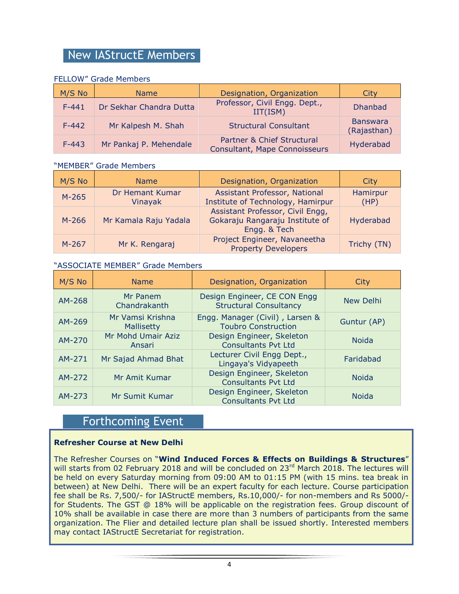## New IAStructE Members

#### FELLOW" Grade Members

| M/S No    | <b>Name</b>             | Designation, Organization                                   | City                           |
|-----------|-------------------------|-------------------------------------------------------------|--------------------------------|
| $F - 441$ | Dr Sekhar Chandra Dutta | Professor, Civil Engg. Dept.,<br>IIT(ISM)                   | <b>Dhanbad</b>                 |
| $F-442$   | Mr Kalpesh M. Shah      | <b>Structural Consultant</b>                                | <b>Banswara</b><br>(Rajasthan) |
| $F-443$   | Mr Pankaj P. Mehendale  | Partner & Chief Structural<br>Consultant, Mape Connoisseurs | Hyderabad                      |

#### "MEMBER" Grade Members

| M/S No  | <b>Name</b>                | Designation, Organization                                                           | City             |
|---------|----------------------------|-------------------------------------------------------------------------------------|------------------|
| $M-265$ | Dr Hemant Kumar<br>Vinayak | Assistant Professor, National<br>Institute of Technology, Hamirpur                  | Hamirpur<br>(HP) |
| $M-266$ | Mr Kamala Raju Yadala      | Assistant Professor, Civil Engg,<br>Gokaraju Rangaraju Institute of<br>Engg. & Tech | Hyderabad        |
| $M-267$ | Mr K. Rengaraj             | Project Engineer, Navaneetha<br><b>Property Developers</b>                          | Trichy (TN)      |

#### "ASSOCIATE MEMBER" Grade Members

| M/S No | <b>Name</b>                    | Designation, Organization                                     | City         |
|--------|--------------------------------|---------------------------------------------------------------|--------------|
| AM-268 | Mr Panem<br>Chandrakanth       | Design Engineer, CE CON Engg<br><b>Structural Consultancy</b> | New Delhi    |
| AM-269 | Mr Vamsi Krishna<br>Mallisetty | Engg. Manager (Civil), Larsen &<br><b>Toubro Construction</b> | Guntur (AP)  |
| AM-270 | Mr Mohd Umair Aziz<br>Ansari   | Design Engineer, Skeleton<br><b>Consultants Pyt Ltd</b>       | <b>Noida</b> |
| AM-271 | Mr Sajad Ahmad Bhat            | Lecturer Civil Engg Dept.,<br>Lingaya's Vidyapeeth            | Faridabad    |
| AM-272 | Mr Amit Kumar                  | Design Engineer, Skeleton<br><b>Consultants Pvt Ltd</b>       | <b>Noida</b> |
| AM-273 | Mr Sumit Kumar                 | Design Engineer, Skeleton<br><b>Consultants Pvt Ltd</b>       | <b>Noida</b> |

## Forthcoming Event

#### **Refresher Course at New Delhi**

The Refresher Courses on "**Wind Induced Forces & Effects on Buildings & Structures**" will starts from 02 February 2018 and will be concluded on 23<sup>rd</sup> March 2018. The lectures will be held on every Saturday morning from 09:00 AM to 01:15 PM (with 15 mins. tea break in between) at New Delhi. There will be an expert faculty for each lecture. Course participation fee shall be Rs. 7,500/- for IAStructE members, Rs.10,000/- for non-members and Rs 5000/ for Students. The GST @ 18% will be applicable on the registration fees. Group discount of 10% shall be available in case there are more than 3 numbers of participants from the same organization. The Flier and detailed lecture plan shall be issued shortly. Interested members may contact IAStructE Secretariat for registration.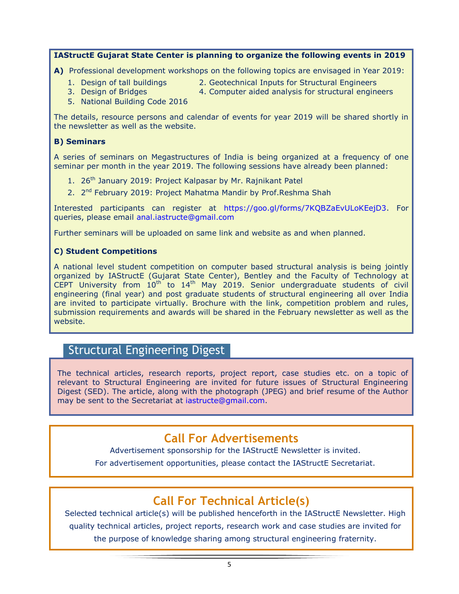#### **IAStructE Gujarat State Center is planning to organize the following events in 2019**

**A)** Professional development workshops on the following topics are envisaged in Year 2019:

- 
- 1. Design of tall buildings 2. Geotechnical Inputs for Structural Engineers
- 
- 3. Design of Bridges 4. Computer aided analysis for structural engineers
- 5. National Building Code 2016

The details, resource persons and calendar of events for year 2019 will be shared shortly in the newsletter as well as the website.

#### **B) Seminars**

A series of seminars on Megastructures of India is being organized at a frequency of one seminar per month in the year 2019. The following sessions have already been planned:

- 1. 26<sup>th</sup> January 2019: Project Kalpasar by Mr. Rajnikant Patel
- 2. 2<sup>nd</sup> February 2019: Project Mahatma Mandir by Prof.Reshma Shah

Interested participants can register at [https://goo.gl/forms/7KQBZaEvULoKEejD3.](https://goo.gl/forms/7KQBZaEvULoKEejD3) For queries, please email [anal.iastructe@gmail.com](mailto:anal.iastructe@gmail.com)

Further seminars will be uploaded on same link and website as and when planned.

#### **C) Student Competitions**

A national level student competition on computer based structural analysis is being jointly organized by IAStructE (Gujarat State Center), Bentley and the Faculty of Technology at CEPT University from  $10^{th}$  to  $14^{th}$  May 2019. Senior undergraduate students of civil engineering (final year) and post graduate students of structural engineering all over India are invited to participate virtually. Brochure with the link, competition problem and rules, submission requirements and awards will be shared in the February newsletter as well as the website.

### Structural Engineering Digest

The technical articles, research reports, project report, case studies etc. on a topic of relevant to Structural Engineering are invited for future issues of Structural Engineering Digest (SED). The article, along with the photograph (JPEG) and brief resume of the Author may be sent to the Secretariat at [iastructe@gmail.com.](mailto:iastructe@gmail.com)

## **Call For Advertisements**

Advertisement sponsorship for the IAStructE Newsletter is invited.

For advertisement opportunities, please contact the IAStructE Secretariat.

## **Call For Technical Article(s)**

Selected technical article(s) will be published henceforth in the IAStructE Newsletter. High quality technical articles, project reports, research work and case studies are invited for the purpose of knowledge sharing among structural engineering fraternity.